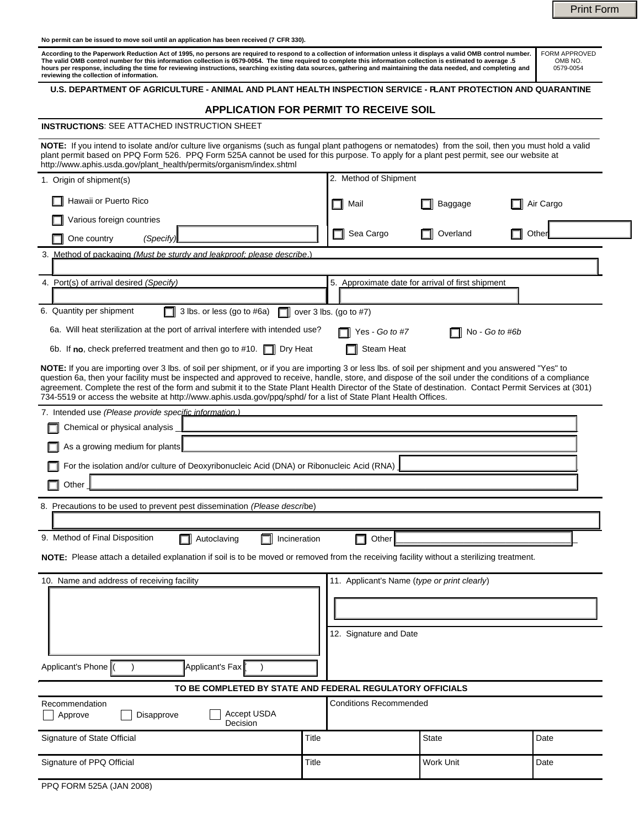Print Form

**No permit can be issued to move soil until an application has been received (7 CFR 330).** 

According to the Paperwork Reduction Act of 1995, no persons are required to respond to a collection of information unless it displays a valid OMB control number.<br>The valid OMB control number for this information collectio FORM APPROVED OMB NO. 0579-0054

#### **U.S. DEPARTMENT OF AGRICULTURE - ANIMAL AND PLANT HEALTH INSPECTION SERVICE - PLANT PROTECTION AND QUARANTINE**

| U.S. DEPARTMENT OF AGRICULTURE - ANIMAL AND PLANT HEALTH INSPECTION SERVICE - FLANT PROTECTION AND QUARANTINE                                                                                                                                                                                                                                                                                                                                                                                                                                                                              |       |                                                   |                |           |  |
|--------------------------------------------------------------------------------------------------------------------------------------------------------------------------------------------------------------------------------------------------------------------------------------------------------------------------------------------------------------------------------------------------------------------------------------------------------------------------------------------------------------------------------------------------------------------------------------------|-------|---------------------------------------------------|----------------|-----------|--|
| <b>APPLICATION FOR PERMIT TO RECEIVE SOIL</b>                                                                                                                                                                                                                                                                                                                                                                                                                                                                                                                                              |       |                                                   |                |           |  |
| <b>INSTRUCTIONS: SEE ATTACHED INSTRUCTION SHEET</b>                                                                                                                                                                                                                                                                                                                                                                                                                                                                                                                                        |       |                                                   |                |           |  |
| NOTE: If you intend to isolate and/or culture live organisms (such as fungal plant pathogens or nematodes) from the soil, then you must hold a valid<br>plant permit based on PPQ Form 526. PPQ Form 525A cannot be used for this purpose. To apply for a plant pest permit, see our website at<br>http://www.aphis.usda.gov/plant_health/permits/organism/index.shtml                                                                                                                                                                                                                     |       |                                                   |                |           |  |
| 1. Origin of shipment(s)                                                                                                                                                                                                                                                                                                                                                                                                                                                                                                                                                                   |       | 2. Method of Shipment                             |                |           |  |
| Hawaii or Puerto Rico                                                                                                                                                                                                                                                                                                                                                                                                                                                                                                                                                                      |       | Mail                                              | Baggage        | Air Cargo |  |
| Various foreign countries                                                                                                                                                                                                                                                                                                                                                                                                                                                                                                                                                                  |       | Sea Cargo                                         | Overland       | Othe      |  |
| One country<br>(Specify)                                                                                                                                                                                                                                                                                                                                                                                                                                                                                                                                                                   |       |                                                   |                |           |  |
| 3. Method of packaging (Must be sturdy and leakproof: please describe.)                                                                                                                                                                                                                                                                                                                                                                                                                                                                                                                    |       |                                                   |                |           |  |
| 4. Port(s) of arrival desired (Specify)                                                                                                                                                                                                                                                                                                                                                                                                                                                                                                                                                    |       | 5. Approximate date for arrival of first shipment |                |           |  |
| 6. Quantity per shipment<br>3 lbs. or less (go to #6a)<br>over $3$ lbs. (go to $#7$ )                                                                                                                                                                                                                                                                                                                                                                                                                                                                                                      |       |                                                   |                |           |  |
| 6a. Will heat sterilization at the port of arrival interfere with intended use?                                                                                                                                                                                                                                                                                                                                                                                                                                                                                                            |       | Yes - Go to #7                                    | No - Go to #6b |           |  |
| 6b. If no, check preferred treatment and then go to #10. $\Box$ Dry Heat                                                                                                                                                                                                                                                                                                                                                                                                                                                                                                                   |       | Steam Heat                                        |                |           |  |
| NOTE: If you are importing over 3 lbs. of soil per shipment, or if you are importing 3 or less lbs. of soil per shipment and you answered "Yes" to<br>question 6a, then your facility must be inspected and approved to receive, handle, store, and dispose of the soil under the conditions of a compliance<br>agreement. Complete the rest of the form and submit it to the State Plant Health Director of the State of destination. Contact Permit Services at (301)<br>734-5519 or access the website at http://www.aphis.usda.gov/ppq/sphd/ for a list of State Plant Health Offices. |       |                                                   |                |           |  |
| 7. Intended use (Please provide specific information.)                                                                                                                                                                                                                                                                                                                                                                                                                                                                                                                                     |       |                                                   |                |           |  |
| Chemical or physical analysis                                                                                                                                                                                                                                                                                                                                                                                                                                                                                                                                                              |       |                                                   |                |           |  |
| As a growing medium for plants                                                                                                                                                                                                                                                                                                                                                                                                                                                                                                                                                             |       |                                                   |                |           |  |
| For the isolation and/or culture of Deoxyribonucleic Acid (DNA) or Ribonucleic Acid (RNA)                                                                                                                                                                                                                                                                                                                                                                                                                                                                                                  |       |                                                   |                |           |  |
| Other                                                                                                                                                                                                                                                                                                                                                                                                                                                                                                                                                                                      |       |                                                   |                |           |  |
| 8. Precautions to be used to prevent pest dissemination (Please describe)                                                                                                                                                                                                                                                                                                                                                                                                                                                                                                                  |       |                                                   |                |           |  |
|                                                                                                                                                                                                                                                                                                                                                                                                                                                                                                                                                                                            |       |                                                   |                |           |  |
| 9. Method of Final Disposition<br>Autoclaving<br>Incineration<br>Other                                                                                                                                                                                                                                                                                                                                                                                                                                                                                                                     |       |                                                   |                |           |  |
| NOTE: Please attach a detailed explanation if soil is to be moved or removed from the receiving facility without a sterilizing treatment.                                                                                                                                                                                                                                                                                                                                                                                                                                                  |       |                                                   |                |           |  |
| 10. Name and address of receiving facility                                                                                                                                                                                                                                                                                                                                                                                                                                                                                                                                                 |       | 11. Applicant's Name (type or print clearly)      |                |           |  |
|                                                                                                                                                                                                                                                                                                                                                                                                                                                                                                                                                                                            |       |                                                   |                |           |  |
|                                                                                                                                                                                                                                                                                                                                                                                                                                                                                                                                                                                            |       |                                                   |                |           |  |
|                                                                                                                                                                                                                                                                                                                                                                                                                                                                                                                                                                                            |       | 12. Signature and Date                            |                |           |  |
|                                                                                                                                                                                                                                                                                                                                                                                                                                                                                                                                                                                            |       |                                                   |                |           |  |
| Applicant's Phone<br>Applicant's Fax                                                                                                                                                                                                                                                                                                                                                                                                                                                                                                                                                       |       |                                                   |                |           |  |
| TO BE COMPLETED BY STATE AND FEDERAL REGULATORY OFFICIALS                                                                                                                                                                                                                                                                                                                                                                                                                                                                                                                                  |       |                                                   |                |           |  |
| Recommendation<br><b>Conditions Recommended</b><br>Accept USDA<br>Disapprove<br>Approve                                                                                                                                                                                                                                                                                                                                                                                                                                                                                                    |       |                                                   |                |           |  |
| Decision                                                                                                                                                                                                                                                                                                                                                                                                                                                                                                                                                                                   |       |                                                   |                |           |  |
| Signature of State Official                                                                                                                                                                                                                                                                                                                                                                                                                                                                                                                                                                | Title |                                                   | State          | Date      |  |

Signature of PPQ Official **Title Community** Contact Title **Title Work Unit Date** Date